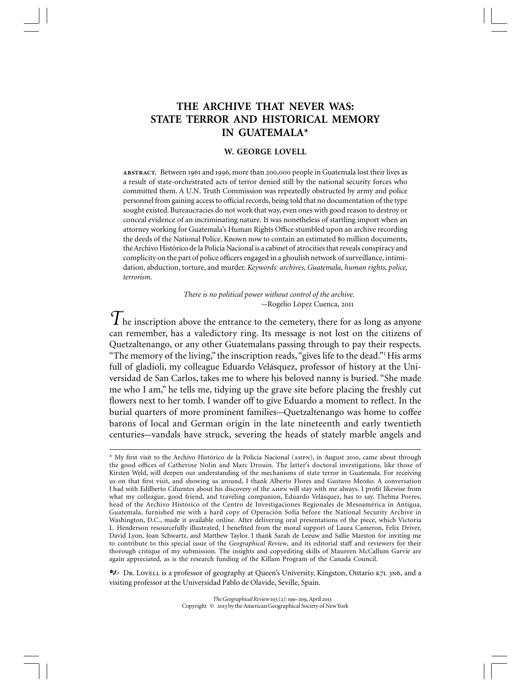# **THE ARCHIVE THAT NEVER WAS: STATE TERROR AND HISTORICAL MEMORY IN GUATEMALA\***

#### **W. GEORGE LOVELL**

**ABSTRACT.** Between 1961 and 1996, more than 200,000 people in Guatemala lost their lives as a result of state-orchestrated acts of terror denied still by the national security forces who committed them. A U.N. Truth Commission was repeatedly obstructed by army and police personnel from gaining access to official records, being told that no documentation of the type sought existed. Bureaucracies do not work that way, even ones with good reason to destroy or conceal evidence of an incriminating nature. It was nonetheless of startling import when an attorney working for Guatemala's Human Rights Office stumbled upon an archive recording the deeds of the National Police. Known now to contain an estimated 80 million documents, the Archivo Histórico de la Policía Nacional is a cabinet of atrocities that reveals conspiracy and complicity on the part of police officers engaged in a ghoulish network of surveillance, intimidation, abduction, torture, and murder. *Keywords: archives, Guatemala, human rights, police, terrorism.*

> *There is no political power without control of the archive.* -Rogelio López Cuenca, 2011

The inscription above the entrance to the cemetery, there for as long as anyone can remember, has a valedictory ring. Its message is not lost on the citizens of Quetzaltenango, or any other Guatemalans passing through to pay their respects. "The memory of the living," the inscription reads, "gives life to the dead."1 His arms full of gladioli, my colleague Eduardo Velásquez, professor of history at the Universidad de San Carlos, takes me to where his beloved nanny is buried. "She made me who I am," he tells me, tidying up the grave site before placing the freshly cut flowers next to her tomb. I wander off to give Eduardo a moment to reflect. In the burial quarters of more prominent families-Quetzaltenango was home to coffee barons of local and German origin in the late nineteenth and early twentieth centuries—vandals have struck, severing the heads of stately marble angels and

→ Dr. LoveLL is a professor of geography at Queen's University, Kingston, Ontario  $K7L$  3N6, and a visiting professor at the Universidad Pablo de Olavide, Seville, Spain.

<sup>\*</sup> My first visit to the Archivo Histórico de la Policia Nacional (AHPN), in August 2010, came about through the good offices of Catherine Nolin and Marc Drouin. The latter's doctoral investigations, like those of Kirsten Weld, will deepen our understanding of the mechanisms of state terror in Guatemala. For receiving us on that first visit, and showing us around, I thank Alberto Flores and Gustavo Meoño. A conversation I had with Edilberto Cifuentes about his discovery of the ahpn will stay with me always. I profit likewise from what my colleague, good friend, and traveling companion, Eduardo Velásquez, has to say. Thelma Porres, head of the Archivo Histórico of the Centro de Investigaciones Regionales de Mesoamérica in Antigua, Guatemala, furnished me with a hard copy of Operación Sofía before the National Security Archive in Washington, D.C., made it available online. After delivering oral presentations of the piece, which Victoria L. Henderson resourcefully illustrated, I benefited from the moral support of Laura Cameron, Felix Driver, David Lyon, Joan Schwartz, and Matthew Taylor. I thank Sarah de Leeuw and Sallie Marston for inviting me to contribute to this special issue of the *Geographical Review,* and its editorial staff and reviewers for their thorough critique of my submission. The insights and copyediting skills of Maureen McCallum Garvie are again appreciated, as is the research funding of the Killam Program of the Canada Council.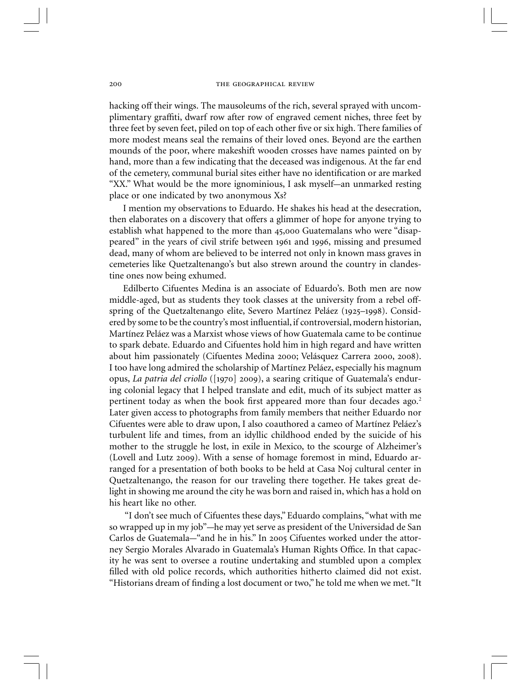hacking off their wings. The mausoleums of the rich, several sprayed with uncomplimentary graffiti, dwarf row after row of engraved cement niches, three feet by three feet by seven feet, piled on top of each other five or six high. There families of more modest means seal the remains of their loved ones. Beyond are the earthen mounds of the poor, where makeshift wooden crosses have names painted on by hand, more than a few indicating that the deceased was indigenous. At the far end of the cemetery, communal burial sites either have no identification or are marked "XX." What would be the more ignominious, I ask myself—an unmarked resting place or one indicated by two anonymous Xs?

I mention my observations to Eduardo. He shakes his head at the desecration, then elaborates on a discovery that offers a glimmer of hope for anyone trying to establish what happened to the more than 45,000 Guatemalans who were "disappeared" in the years of civil strife between 1961 and 1996, missing and presumed dead, many of whom are believed to be interred not only in known mass graves in cemeteries like Quetzaltenango's but also strewn around the country in clandestine ones now being exhumed.

Edilberto Cifuentes Medina is an associate of Eduardo's. Both men are now middle-aged, but as students they took classes at the university from a rebel offspring of the Quetzaltenango elite, Severo Martínez Peláez (1925-1998). Considered by some to be the country's most influential, if controversial, modern historian, Martínez Peláez was a Marxist whose views of how Guatemala came to be continue to spark debate. Eduardo and Cifuentes hold him in high regard and have written about him passionately (Cifuentes Medina 2000; Velásquez Carrera 2000, 2008). I too have long admired the scholarship of Martínez Peláez, especially his magnum opus, *La patria del criollo* ([1970] 2009), a searing critique of Guatemala's enduring colonial legacy that I helped translate and edit, much of its subject matter as pertinent today as when the book first appeared more than four decades ago.<sup>2</sup> Later given access to photographs from family members that neither Eduardo nor Cifuentes were able to draw upon, I also coauthored a cameo of Martínez Peláez's turbulent life and times, from an idyllic childhood ended by the suicide of his mother to the struggle he lost, in exile in Mexico, to the scourge of Alzheimer's (Lovell and Lutz 2009). With a sense of homage foremost in mind, Eduardo arranged for a presentation of both books to be held at Casa Noj cultural center in Quetzaltenango, the reason for our traveling there together. He takes great delight in showing me around the city he was born and raised in, which has a hold on his heart like no other.

 "I don't see much of Cifuentes these days," Eduardo complains, "what with me so wrapped up in my job"—he may yet serve as president of the Universidad de San Carlos de Guatemala-"and he in his." In 2005 Cifuentes worked under the attorney Sergio Morales Alvarado in Guatemala's Human Rights Office. In that capacity he was sent to oversee a routine undertaking and stumbled upon a complex filled with old police records, which authorities hitherto claimed did not exist. "Historians dream of finding a lost document or two," he told me when we met. "It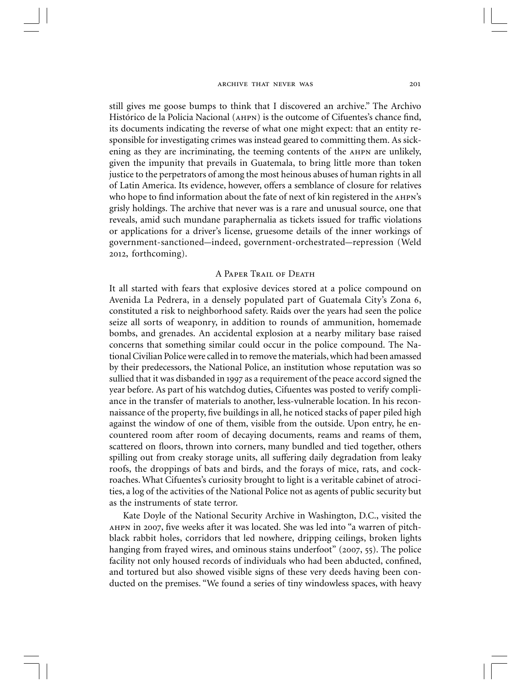still gives me goose bumps to think that I discovered an archive." The Archivo Histórico de la Policia Nacional (ahpn) is the outcome of Cifuentes's chance find, its documents indicating the reverse of what one might expect: that an entity responsible for investigating crimes was instead geared to committing them. As sickening as they are incriminating, the teeming contents of the ahpn are unlikely, given the impunity that prevails in Guatemala, to bring little more than token justice to the perpetrators of among the most heinous abuses of human rights in all of Latin America. Its evidence, however, offers a semblance of closure for relatives who hope to find information about the fate of next of kin registered in the AHPN's grisly holdings. The archive that never was is a rare and unusual source, one that reveals, amid such mundane paraphernalia as tickets issued for traffic violations or applications for a driver's license, gruesome details of the inner workings of government-sanctioned-indeed, government-orchestrated-repression (Weld , forthcoming).

## A Paper Trail of Death

It all started with fears that explosive devices stored at a police compound on Avenida La Pedrera, in a densely populated part of Guatemala City's Zona 6, constituted a risk to neighborhood safety. Raids over the years had seen the police seize all sorts of weaponry, in addition to rounds of ammunition, homemade bombs, and grenades. An accidental explosion at a nearby military base raised concerns that something similar could occur in the police compound. The National Civilian Police were called in to remove the materials, which had been amassed by their predecessors, the National Police, an institution whose reputation was so sullied that it was disbanded in 1997 as a requirement of the peace accord signed the year before. As part of his watchdog duties, Cifuentes was posted to verify compliance in the transfer of materials to another, less-vulnerable location. In his reconnaissance of the property, five buildings in all, he noticed stacks of paper piled high against the window of one of them, visible from the outside. Upon entry, he encountered room after room of decaying documents, reams and reams of them, scattered on floors, thrown into corners, many bundled and tied together, others spilling out from creaky storage units, all suffering daily degradation from leaky roofs, the droppings of bats and birds, and the forays of mice, rats, and cockroaches. What Cifuentes's curiosity brought to light is a veritable cabinet of atrocities, a log of the activities of the National Police not as agents of public security but as the instruments of state terror.

Kate Doyle of the National Security Archive in Washington, D.C., visited the AHPN in 2007, five weeks after it was located. She was led into "a warren of pitchblack rabbit holes, corridors that led nowhere, dripping ceilings, broken lights hanging from frayed wires, and ominous stains underfoot"  $(2007, 55)$ . The police facility not only housed records of individuals who had been abducted, confined, and tortured but also showed visible signs of these very deeds having been conducted on the premises. "We found a series of tiny windowless spaces, with heavy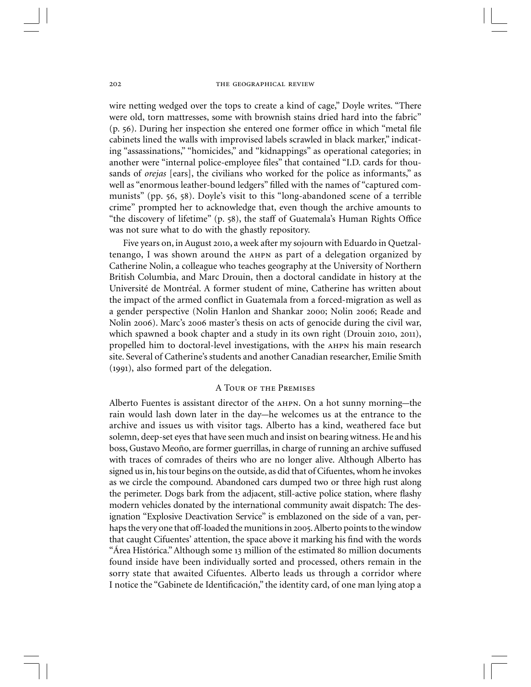wire netting wedged over the tops to create a kind of cage," Doyle writes. "There were old, torn mattresses, some with brownish stains dried hard into the fabric" (p. ). During her inspection she entered one former office in which "metal file cabinets lined the walls with improvised labels scrawled in black marker," indicating "assassinations," "homicides," and "kidnappings" as operational categories; in another were "internal police-employee files" that contained "I.D. cards for thousands of *orejas* [ears], the civilians who worked for the police as informants," as well as "enormous leather-bound ledgers" filled with the names of "captured communists" (pp. 56, 58). Doyle's visit to this "long-abandoned scene of a terrible crime" prompted her to acknowledge that, even though the archive amounts to "the discovery of lifetime"  $(p. 58)$ , the staff of Guatemala's Human Rights Office was not sure what to do with the ghastly repository.

Five years on, in August 2010, a week after my sojourn with Eduardo in Quetzaltenango, I was shown around the ahpn as part of a delegation organized by Catherine Nolin, a colleague who teaches geography at the University of Northern British Columbia, and Marc Drouin, then a doctoral candidate in history at the Université de Montréal. A former student of mine, Catherine has written about the impact of the armed conflict in Guatemala from a forced-migration as well as a gender perspective (Nolin Hanlon and Shankar 2000; Nolin 2006; Reade and Nolin 2006). Marc's 2006 master's thesis on acts of genocide during the civil war, which spawned a book chapter and a study in its own right (Drouin 2010, 2011), propelled him to doctoral-level investigations, with the ahpn his main research site. Several of Catherine's students and another Canadian researcher, Emilie Smith  $(1991)$ , also formed part of the delegation.

# A Tour of the Premises

Alberto Fuentes is assistant director of the AHPN. On a hot sunny morning-the rain would lash down later in the day—he welcomes us at the entrance to the archive and issues us with visitor tags. Alberto has a kind, weathered face but solemn, deep-set eyes that have seen much and insist on bearing witness. He and his boss, Gustavo Meoño, are former guerrillas, in charge of running an archive suffused with traces of comrades of theirs who are no longer alive. Although Alberto has signed us in, his tour begins on the outside, as did that of Cifuentes, whom he invokes as we circle the compound. Abandoned cars dumped two or three high rust along the perimeter. Dogs bark from the adjacent, still-active police station, where flashy modern vehicles donated by the international community await dispatch: The designation "Explosive Deactivation Service" is emblazoned on the side of a van, perhaps the very one that off-loaded the munitions in 2005. Alberto points to the window that caught Cifuentes' attention, the space above it marking his find with the words "Área Histórica." Although some 13 million of the estimated 80 million documents found inside have been individually sorted and processed, others remain in the sorry state that awaited Cifuentes. Alberto leads us through a corridor where I notice the "Gabinete de Identificación," the identity card, of one man lying atop a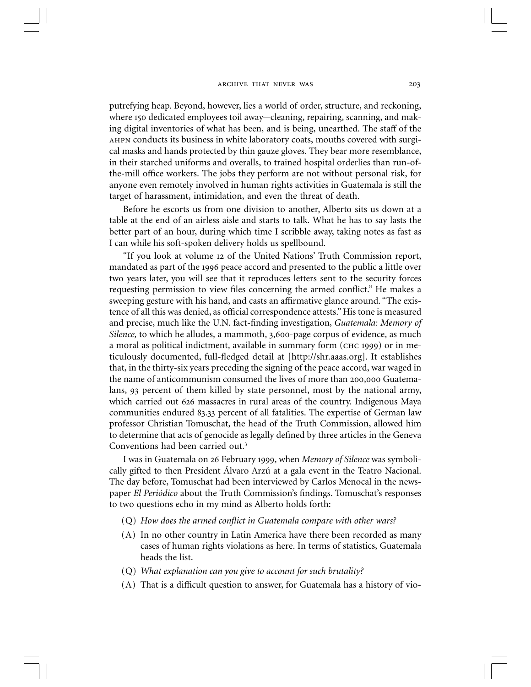putrefying heap. Beyond, however, lies a world of order, structure, and reckoning, where 150 dedicated employees toil away—cleaning, repairing, scanning, and making digital inventories of what has been, and is being, unearthed. The staff of the ahpn conducts its business in white laboratory coats, mouths covered with surgical masks and hands protected by thin gauze gloves. They bear more resemblance, in their starched uniforms and overalls, to trained hospital orderlies than run-ofthe-mill office workers. The jobs they perform are not without personal risk, for anyone even remotely involved in human rights activities in Guatemala is still the target of harassment, intimidation, and even the threat of death.

Before he escorts us from one division to another, Alberto sits us down at a table at the end of an airless aisle and starts to talk. What he has to say lasts the better part of an hour, during which time I scribble away, taking notes as fast as I can while his soft-spoken delivery holds us spellbound.

"If you look at volume 12 of the United Nations' Truth Commission report, mandated as part of the 1996 peace accord and presented to the public a little over two years later, you will see that it reproduces letters sent to the security forces requesting permission to view files concerning the armed conflict." He makes a sweeping gesture with his hand, and casts an affirmative glance around. "The existence of all this was denied, as official correspondence attests." His tone is measured and precise, much like the U.N. fact-finding investigation, *Guatemala: Memory of Silence*, to which he alludes, a mammoth, 3,600-page corpus of evidence, as much а moral as political indictment, available in summary form (снс 1999) or in meticulously documented, full-fledged detail at [http://shr.aaas.org]. It establishes that, in the thirty-six years preceding the signing of the peace accord, war waged in the name of anticommunism consumed the lives of more than 200,000 Guatemalans, 93 percent of them killed by state personnel, most by the national army, which carried out 626 massacres in rural areas of the country. Indigenous Maya communities endured 83.33 percent of all fatalities. The expertise of German law professor Christian Tomuschat, the head of the Truth Commission, allowed him to determine that acts of genocide as legally defined by three articles in the Geneva Conventions had been carried out.3

I was in Guatemala on 26 February 1999, when *Memory of Silence* was symbolically gifted to then President Álvaro Arzú at a gala event in the Teatro Nacional. The day before, Tomuschat had been interviewed by Carlos Menocal in the newspaper *El Periódico* about the Truth Commission's findings. Tomuschat's responses to two questions echo in my mind as Alberto holds forth:

- (Q) *How does the armed conflict in Guatemala compare with other wars?*
- (A) In no other country in Latin America have there been recorded as many cases of human rights violations as here. In terms of statistics, Guatemala heads the list.
- (Q) *What explanation can you give to account for such brutality?*
- (A) That is a difficult question to answer, for Guatemala has a history of vio-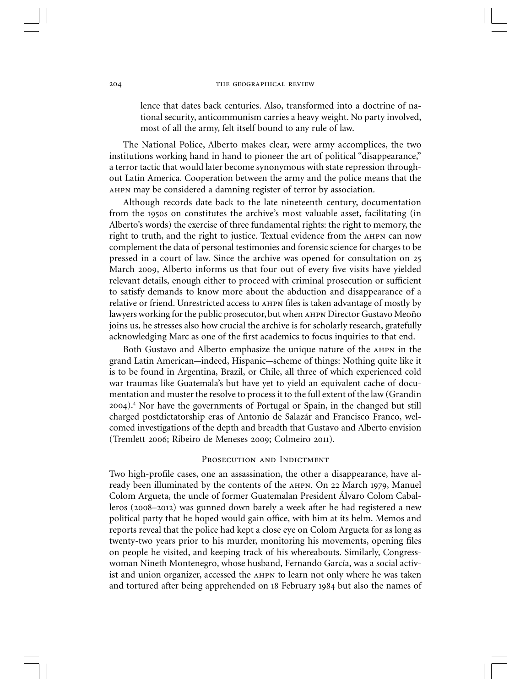lence that dates back centuries. Also, transformed into a doctrine of national security, anticommunism carries a heavy weight. No party involved, most of all the army, felt itself bound to any rule of law.

The National Police, Alberto makes clear, were army accomplices, the two institutions working hand in hand to pioneer the art of political "disappearance," a terror tactic that would later become synonymous with state repression throughout Latin America. Cooperation between the army and the police means that the ahpn may be considered a damning register of terror by association.

Although records date back to the late nineteenth century, documentation from the 1950s on constitutes the archive's most valuable asset, facilitating (in Alberto's words) the exercise of three fundamental rights: the right to memory, the right to truth, and the right to justice. Textual evidence from the ahpn can now complement the data of personal testimonies and forensic science for charges to be pressed in a court of law. Since the archive was opened for consultation on 25 March 2009, Alberto informs us that four out of every five visits have yielded relevant details, enough either to proceed with criminal prosecution or sufficient to satisfy demands to know more about the abduction and disappearance of a relative or friend. Unrestricted access to ahpn files is taken advantage of mostly by lawyers working for the public prosecutor, but when AHPN Director Gustavo Meoño joins us, he stresses also how crucial the archive is for scholarly research, gratefully acknowledging Marc as one of the first academics to focus inquiries to that end.

Both Gustavo and Alberto emphasize the unique nature of the ahpn in the grand Latin American—indeed, Hispanic—scheme of things: Nothing quite like it is to be found in Argentina, Brazil, or Chile, all three of which experienced cold war traumas like Guatemala's but have yet to yield an equivalent cache of documentation and muster the resolve to process it to the full extent of the law (Grandin ).4 Nor have the governments of Portugal or Spain, in the changed but still charged postdictatorship eras of Antonio de Salazár and Francisco Franco, welcomed investigations of the depth and breadth that Gustavo and Alberto envision (Tremlett 2006; Ribeiro de Meneses 2009; Colmeiro 2011).

#### PROSECUTION AND INDICTMENT

Two high-profile cases, one an assassination, the other a disappearance, have already been illuminated by the contents of the AHPN. On 22 March 1979, Manuel Colom Argueta, the uncle of former Guatemalan President Álvaro Colom Caballeros (2008–2012) was gunned down barely a week after he had registered a new political party that he hoped would gain office, with him at its helm. Memos and reports reveal that the police had kept a close eye on Colom Argueta for as long as twenty-two years prior to his murder, monitoring his movements, opening files on people he visited, and keeping track of his whereabouts. Similarly, Congresswoman Nineth Montenegro, whose husband, Fernando García, was a social activist and union organizer, accessed the ahpn to learn not only where he was taken and tortured after being apprehended on 18 February 1984 but also the names of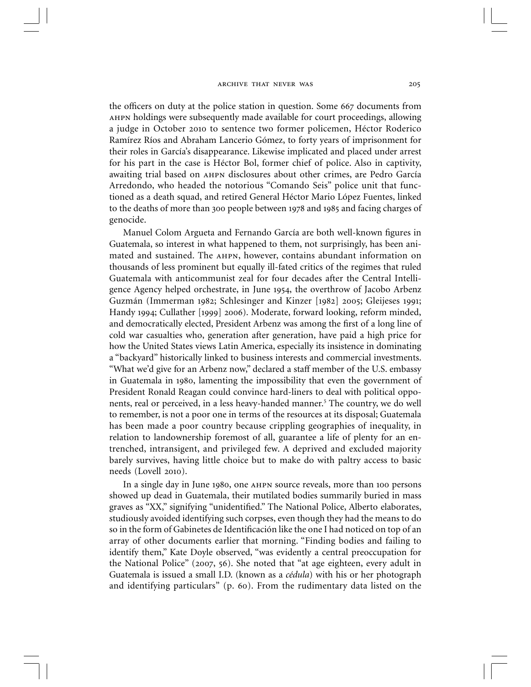the officers on duty at the police station in question. Some 667 documents from ahpn holdings were subsequently made available for court proceedings, allowing a judge in October 2010 to sentence two former policemen, Héctor Roderico Ramírez Ríos and Abraham Lancerio Gómez, to forty years of imprisonment for their roles in García's disappearance. Likewise implicated and placed under arrest for his part in the case is Héctor Bol, former chief of police. Also in captivity, awaiting trial based on ahpn disclosures about other crimes, are Pedro García Arredondo, who headed the notorious "Comando Seis" police unit that functioned as a death squad, and retired General Héctor Mario López Fuentes, linked to the deaths of more than 300 people between 1978 and 1985 and facing charges of genocide.

Manuel Colom Argueta and Fernando García are both well-known figures in Guatemala, so interest in what happened to them, not surprisingly, has been animated and sustained. The AHPN, however, contains abundant information on thousands of less prominent but equally ill-fated critics of the regimes that ruled Guatemala with anticommunist zeal for four decades after the Central Intelligence Agency helped orchestrate, in June 1954, the overthrow of Jacobo Arbenz Guzmán (Immerman 1982; Schlesinger and Kinzer [1982] 2005; Gleijeses 1991; Handy 1994; Cullather [1999] 2006). Moderate, forward looking, reform minded, and democratically elected, President Arbenz was among the first of a long line of cold war casualties who, generation after generation, have paid a high price for how the United States views Latin America, especially its insistence in dominating a "backyard" historically linked to business interests and commercial investments. "What we'd give for an Arbenz now," declared a staff member of the U.S. embassy in Guatemala in 1980, lamenting the impossibility that even the government of President Ronald Reagan could convince hard-liners to deal with political opponents, real or perceived, in a less heavy-handed manner.<sup>5</sup> The country, we do well to remember, is not a poor one in terms of the resources at its disposal; Guatemala has been made a poor country because crippling geographies of inequality, in relation to landownership foremost of all, guarantee a life of plenty for an entrenched, intransigent, and privileged few. A deprived and excluded majority barely survives, having little choice but to make do with paltry access to basic needs (Lovell 2010).

In a single day in June 1980, one AHPN source reveals, more than 100 persons showed up dead in Guatemala, their mutilated bodies summarily buried in mass graves as "XX," signifying "unidentified." The National Police, Alberto elaborates, studiously avoided identifying such corpses, even though they had the means to do so in the form of Gabinetes de Identificación like the one I had noticed on top of an array of other documents earlier that morning. "Finding bodies and failing to identify them," Kate Doyle observed, "was evidently a central preoccupation for the National Police" (2007, 56). She noted that "at age eighteen, every adult in Guatemala is issued a small I.D. (known as a *cédula*) with his or her photograph and identifying particulars" (p. 60). From the rudimentary data listed on the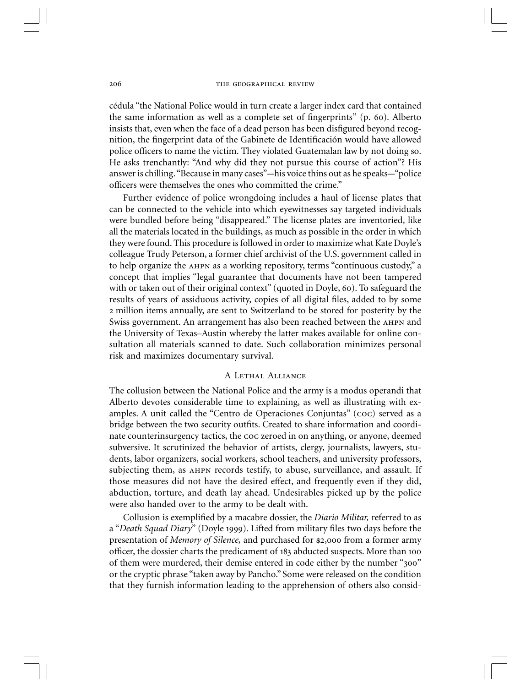cédula "the National Police would in turn create a larger index card that contained the same information as well as a complete set of fingerprints" (p. 60). Alberto insists that, even when the face of a dead person has been disfigured beyond recognition, the fingerprint data of the Gabinete de Identificación would have allowed police officers to name the victim. They violated Guatemalan law by not doing so. He asks trenchantly: "And why did they not pursue this course of action"? His answer is chilling. "Because in many cases"—his voice thins out as he speaks—"police officers were themselves the ones who committed the crime."

Further evidence of police wrongdoing includes a haul of license plates that can be connected to the vehicle into which eyewitnesses say targeted individuals were bundled before being "disappeared." The license plates are inventoried, like all the materials located in the buildings, as much as possible in the order in which they were found. This procedure is followed in order to maximize what Kate Doyle's colleague Trudy Peterson, a former chief archivist of the U.S. government called in to help organize the ahpn as a working repository, terms "continuous custody," a concept that implies "legal guarantee that documents have not been tampered with or taken out of their original context" (quoted in Doyle, 60). To safeguard the results of years of assiduous activity, copies of all digital files, added to by some million items annually, are sent to Switzerland to be stored for posterity by the Swiss government. An arrangement has also been reached between the AHPN and the University of Texas–Austin whereby the latter makes available for online consultation all materials scanned to date. Such collaboration minimizes personal risk and maximizes documentary survival.

#### A Lethal Alliance

The collusion between the National Police and the army is a modus operandi that Alberto devotes considerable time to explaining, as well as illustrating with examples. A unit called the "Centro de Operaciones Conjuntas" (coc) served as a bridge between the two security outfits. Created to share information and coordinate counterinsurgency tactics, the coc zeroed in on anything, or anyone, deemed subversive. It scrutinized the behavior of artists, clergy, journalists, lawyers, students, labor organizers, social workers, school teachers, and university professors, subjecting them, as ahpn records testify, to abuse, surveillance, and assault. If those measures did not have the desired effect, and frequently even if they did, abduction, torture, and death lay ahead. Undesirables picked up by the police were also handed over to the army to be dealt with.

Collusion is exemplified by a macabre dossier, the *Diario Militar,* referred to as a "*Death Squad Diary*" (Doyle 1999). Lifted from military files two days before the presentation of *Memory of Silence*, and purchased for \$2,000 from a former army officer, the dossier charts the predicament of 183 abducted suspects. More than 100 of them were murdered, their demise entered in code either by the number "300" or the cryptic phrase "taken away by Pancho." Some were released on the condition that they furnish information leading to the apprehension of others also consid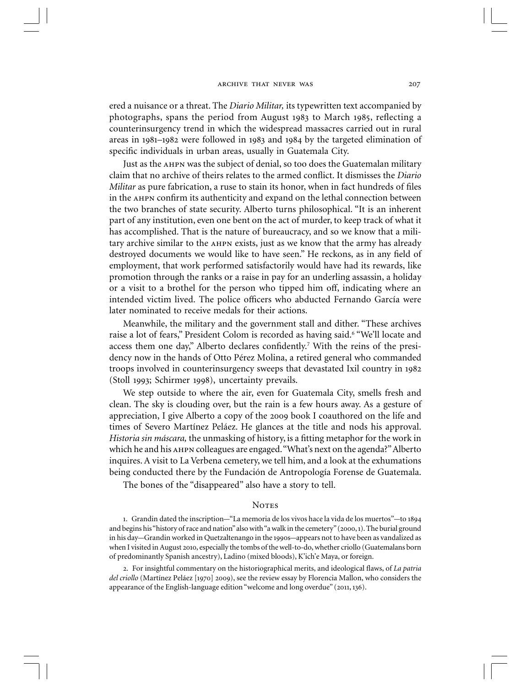ered a nuisance or a threat. The *Diario Militar,* its typewritten text accompanied by photographs, spans the period from August 1983 to March 1985, reflecting a counterinsurgency trend in which the widespread massacres carried out in rural areas in  $1981 - 1982$  were followed in  $1983$  and  $1984$  by the targeted elimination of specific individuals in urban areas, usually in Guatemala City.

Just as the ahpn was the subject of denial, so too does the Guatemalan military claim that no archive of theirs relates to the armed conflict. It dismisses the *Diario Militar* as pure fabrication, a ruse to stain its honor, when in fact hundreds of files in the ahpn confirm its authenticity and expand on the lethal connection between the two branches of state security. Alberto turns philosophical. "It is an inherent part of any institution, even one bent on the act of murder, to keep track of what it has accomplished. That is the nature of bureaucracy, and so we know that a military archive similar to the ahpn exists, just as we know that the army has already destroyed documents we would like to have seen." He reckons, as in any field of employment, that work performed satisfactorily would have had its rewards, like promotion through the ranks or a raise in pay for an underling assassin, a holiday or a visit to a brothel for the person who tipped him off, indicating where an intended victim lived. The police officers who abducted Fernando García were later nominated to receive medals for their actions.

Meanwhile, the military and the government stall and dither. "These archives raise a lot of fears," President Colom is recorded as having said.<sup>6</sup> "We'll locate and access them one day," Alberto declares confidently.<sup>7</sup> With the reins of the presidency now in the hands of Otto Pérez Molina, a retired general who commanded troops involved in counterinsurgency sweeps that devastated Ixil country in (Stoll 1993; Schirmer 1998), uncertainty prevails.

We step outside to where the air, even for Guatemala City, smells fresh and clean. The sky is clouding over, but the rain is a few hours away. As a gesture of appreciation, I give Alberto a copy of the 2009 book I coauthored on the life and times of Severo Martínez Peláez. He glances at the title and nods his approval. *Historia sin máscara,* the unmasking of history, is a fitting metaphor for the work in which he and his *АНР* N colleagues are engaged. "What's next on the agenda?" Alberto inquires. A visit to La Verbena cemetery, we tell him, and a look at the exhumations being conducted there by the Fundación de Antropología Forense de Guatemala.

The bones of the "disappeared" also have a story to tell.

### **NOTES**

1. Grandin dated the inscription-"La memoria de los vivos hace la vida de los muertos"-to 1894 and begins his "history of race and nation" also with "a walk in the cemetery" (2000, 1). The burial ground in his day—Grandin worked in Quetzaltenango in the 1990s—appears not to have been as vandalized as when I visited in August 2010, especially the tombs of the well-to-do, whether criollo (Guatemalans born of predominantly Spanish ancestry), Ladino (mixed bloods), K'ich'e Maya, or foreign.

. For insightful commentary on the historiographical merits, and ideological flaws, of *La patria* del criollo (Martínez Peláez [1970] 2009), see the review essay by Florencia Mallon, who considers the appearance of the English-language edition "welcome and long overdue" (2011, 136).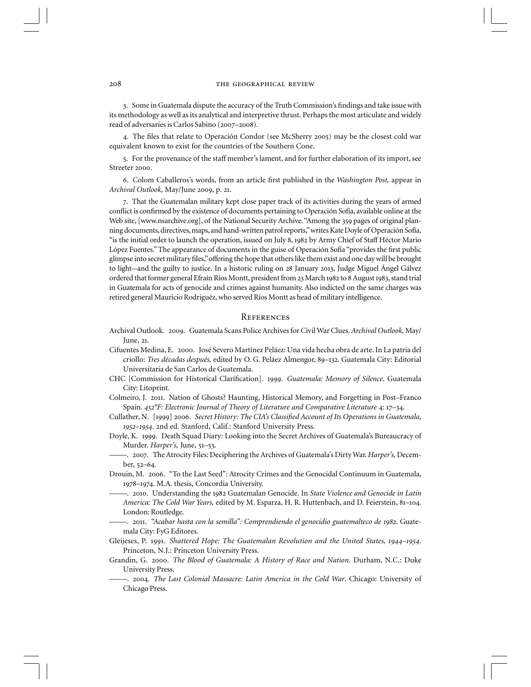. Some in Guatemala dispute the accuracy of the Truth Commission's findings and take issue with its methodology as well as its analytical and interpretive thrust. Perhaps the most articulate and widely read of adversaries is Carlos Sabino (2007-2008).

4. The files that relate to Operación Condor (see McSherry 2005) may be the closest cold war equivalent known to exist for the countries of the Southern Cone.

. For the provenance of the staff member's lament, and for further elaboration of its import, see Streeter 2000.

. Colom Caballeros's words, from an article first published in the *Washington Post,* appear in *Archival Outlook, May/June 2009, p. 21.* 

. That the Guatemalan military kept close paper track of its activities during the years of armed conflict is confirmed by the existence of documents pertaining to Operación Sofía, available online at the Web site, [www.nsarchive.org], of the National Security Archive. "Among the 359 pages of original planning documents, directives, maps, and hand-written patrol reports," writes Kate Doyle of Operación Sofía, "is the initial order to launch the operation, issued on July 8, 1982 by Army Chief of Staff Héctor Mario López Fuentes." The appearance of documents in the guise of Operación Sofía "provides the first public glimpse into secret military files," offering the hope that others like them exist and one day will be brought to light—and the guilty to justice. In a historic ruling on 28 January 2013, Judge Miguel Ángel Gálvez ordered that former general Efraín Ríos Montt, president from 23 March 1982 to 8 August 1983, stand trial in Guatemala for acts of genocide and crimes against humanity. Also indicted on the same charges was retired general Mauricio Rodriguéz, who served Ríos Montt as head of military intelligence.

#### **REFERENCES**

- Archival Outlook. 2009. Guatemala Scans Police Archives for Civil War Clues. *Archival Outlook*, May/ June, 21.
- Cifuentes Medina, E. . José Severo Martínez Peláez: Una vida hecha obra de arte. In La patria del criollo: *Tres décadas después,* edited by O. G. Peláez Almengor, 89-132. Guatemala City: Editorial Universitaria de San Carlos de Guatemala.
- CHC [Commission for Historical Clarification]. . *Guatemala: Memory of Silence*. Guatemala City: Litoprint.
- Colmeiro, J. . Nation of Ghosts? Haunting, Historical Memory, and Forgetting in Post–Franco Spain. 452<sup>o</sup>F: Electronic Journal of Theory of Literature and Comparative Literature 4: 17–34.
- Cullather, N. [] . *Secret History: The CIA's Classified Account of Its Operations in Guatemala,* 1952-1954. 2nd ed. Stanford, Calif.: Stanford University Press.
- Doyle, K. 1999. Death Squad Diary: Looking into the Secret Archives of Guatemala's Bureaucracy of Murder. *Harper's*, June, 51-53.
- . . The Atrocity Files: Deciphering the Archives of Guatemala's Dirty War. *Harper's,* December,  $52-64$ .
- Drouin, M. 2006. "To the Last Seed": Atrocity Crimes and the Genocidal Continuum in Guatemala, 1978–1974. M.A. thesis, Concordia University.
	- -. 2010. Understanding the 1982 Guatemalan Genocide. In State Violence and Genocide in Latin *America: The Cold War Years, edited by M. Esparza, H. R. Huttenbach, and D. Feierstein, 81-104.* London: Routledge.
	- . . *"Acabar hasta con la semilla": Comprendiendo el genocidio guatemalteco de* . Guatemala City: FyG Editores.
- Gleijeses, P. 1991. Shattered Hope: The Guatemalan Revolution and the United States, 1944–1954. Princeton, N.J.: Princeton University Press.
- Grandin, G. . *The Blood of Guatemala: A History of Race and Nation*. Durham, N.C.: Duke University Press.
	- . . *The Last Colonial Massacre: Latin America in the Cold War*. Chicago: University of Chicago Press.